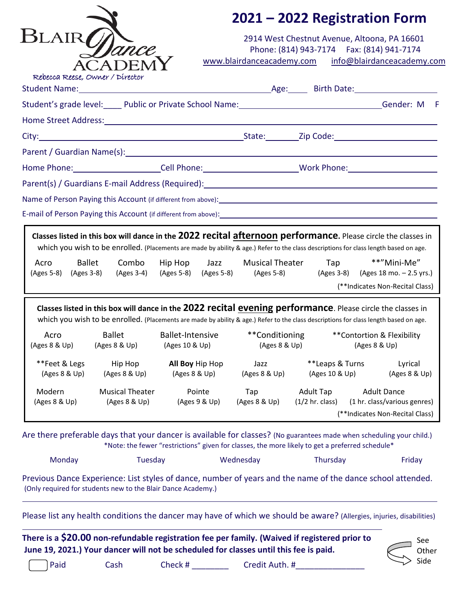|                                  |                                                              |                                                                                                                | 2021 - 2022 Registration Form        |                                                                                                                                                                                                                          |                                                                                                                        |  |  |  |
|----------------------------------|--------------------------------------------------------------|----------------------------------------------------------------------------------------------------------------|--------------------------------------|--------------------------------------------------------------------------------------------------------------------------------------------------------------------------------------------------------------------------|------------------------------------------------------------------------------------------------------------------------|--|--|--|
| <b>BLAIR</b>                     | CADEN<br>Rebecca Reese, Owner / Director                     |                                                                                                                |                                      | 2914 West Chestnut Avenue, Altoona, PA 16601<br>Phone: (814) 943-7174    Fax: (814) 941-7174                                                                                                                             | www.blairdanceacademy.com info@blairdanceacademy.com                                                                   |  |  |  |
|                                  |                                                              |                                                                                                                |                                      |                                                                                                                                                                                                                          |                                                                                                                        |  |  |  |
|                                  |                                                              |                                                                                                                |                                      |                                                                                                                                                                                                                          | Student's grade level:_____ Public or Private School Name:_______________________________Gender: M F                   |  |  |  |
|                                  |                                                              | Home Street Address: No. 2014 19:30 No. 2014 19:30 No. 2014 19:30 No. 2014 19:30 No. 2014 19:30 No. 2014 19:30 |                                      |                                                                                                                                                                                                                          |                                                                                                                        |  |  |  |
|                                  |                                                              |                                                                                                                |                                      |                                                                                                                                                                                                                          |                                                                                                                        |  |  |  |
|                                  |                                                              |                                                                                                                |                                      |                                                                                                                                                                                                                          |                                                                                                                        |  |  |  |
|                                  |                                                              |                                                                                                                |                                      |                                                                                                                                                                                                                          | Home Phone: ______________________Cell Phone: __________________________Work Phone: _________________________          |  |  |  |
|                                  |                                                              |                                                                                                                |                                      | Parent(s) / Guardians E-mail Address (Required): Manual Address (Required) and Address (Required) and Address (                                                                                                          |                                                                                                                        |  |  |  |
|                                  |                                                              |                                                                                                                |                                      | Name of Person Paying this Account (if different from above): 1992. [20] Name of Person Paying this Account (if different from above):                                                                                   |                                                                                                                        |  |  |  |
|                                  |                                                              |                                                                                                                |                                      | E-mail of Person Paying this Account (if different from above): 1992. [20] The Main Content of Person Paying this Account (if different from above):                                                                     |                                                                                                                        |  |  |  |
| Acro<br>(Ages 5-8)<br>(Ages 3-8) | <b>Ballet</b><br>Combo<br>(Ages 3-4)                         | Hip Hop Jazz<br>(Ages 5-8) (Ages 5-8)                                                                          | <b>Musical Theater</b><br>(Ages 5-8) | <b>Tap</b><br>(Ages 3-8)<br>Classes listed in this box will dance in the 2022 recital evening performance. Please circle the classes in                                                                                  | **"Mini-Me"<br>(Ages 18 mo. - 2.5 yrs.)<br>(**Indicates Non-Recital Class)                                             |  |  |  |
| Acro<br>(Ages 8 & Up)            | <b>Ballet</b><br>(Ages 8 & Up)                               | Ballet-Intensive<br>(Ages 10 & Up)                                                                             | **Conditioning<br>(Ages 8 & Up)      | which you wish to be enrolled. (Placements are made by ability & age.) Refer to the class descriptions for class length based on age.                                                                                    | **Contortion & Flexibility<br>(Ages 8 & Up)                                                                            |  |  |  |
| **Feet & Legs<br>(Ages 8 & Up)   | Hip Hop<br>(Ages 8 & Up)                                     | All Boy Hip Hop<br>(Ages 8 & Up)                                                                               | Jazz<br>(Ages 8 & Up)                | **Leaps & Turns<br>(Ages 10 & Up)                                                                                                                                                                                        | Lyrical<br>(Ages 8 & Up)                                                                                               |  |  |  |
| Modern<br>(Ages 8 & Up)          | <b>Musical Theater</b><br>(Ages 8 & Up)                      | Pointe<br>(Ages 9 & Up)                                                                                        | Tap<br>(Ages 8 & Up)                 | <b>Adult Tap</b><br>$(1/2$ hr. class)                                                                                                                                                                                    | <b>Adult Dance</b><br>(1 hr. class/various genres)<br>(**Indicates Non-Recital Class)                                  |  |  |  |
|                                  |                                                              |                                                                                                                |                                      | Are there preferable days that your dancer is available for classes? (No guarantees made when scheduling your child.)<br>*Note: the fewer "restrictions" given for classes, the more likely to get a preferred schedule* |                                                                                                                        |  |  |  |
| Monday                           | Tuesday                                                      |                                                                                                                | Wednesday                            | Thursday                                                                                                                                                                                                                 | Friday                                                                                                                 |  |  |  |
|                                  | (Only required for students new to the Blair Dance Academy.) |                                                                                                                |                                      | Previous Dance Experience: List styles of dance, number of years and the name of the dance school attended.                                                                                                              |                                                                                                                        |  |  |  |
|                                  |                                                              |                                                                                                                |                                      |                                                                                                                                                                                                                          | Please list any health conditions the dancer may have of which we should be aware? (Allergies, injuries, disabilities) |  |  |  |
|                                  |                                                              | June 19, 2021.) Your dancer will not be scheduled for classes until this fee is paid.                          |                                      | There is a \$20.00 non-refundable registration fee per family. (Waived if registered prior to                                                                                                                            | See<br>Other                                                                                                           |  |  |  |

Other Side

Paid Cash Check # \_\_\_\_\_\_\_\_ Credit Auth. #\_\_\_\_\_\_\_\_\_\_\_\_\_\_\_